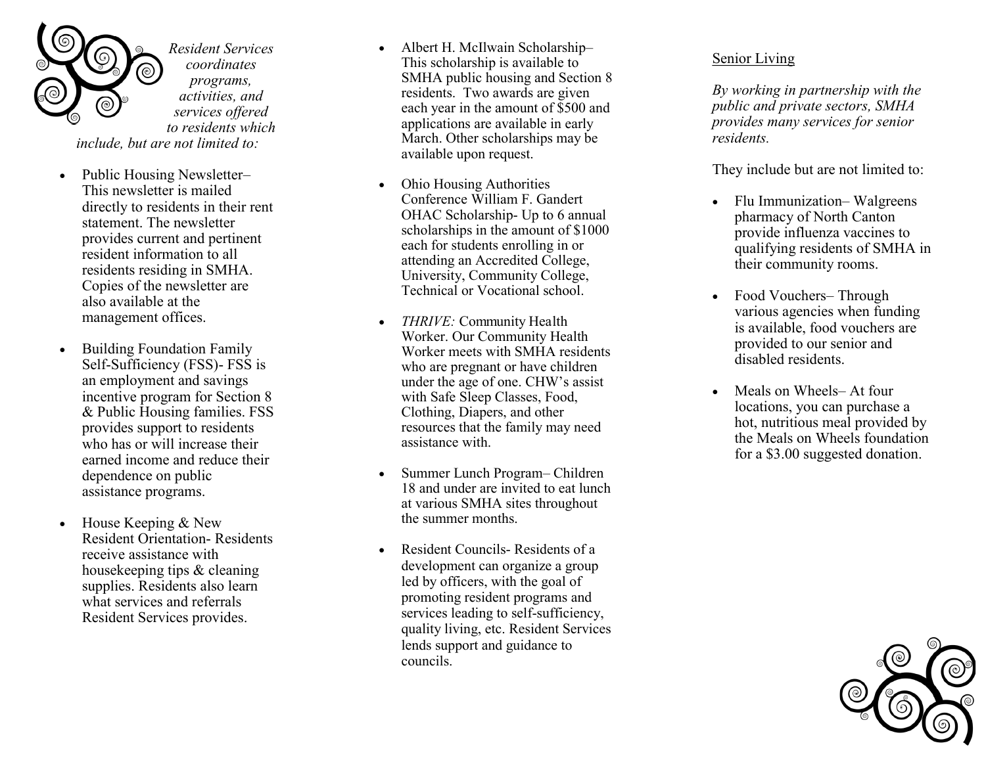

- Public Housing Newsletter*–* This newsletter is mailed directly to residents in their rent statement. The newsletter provides current and pertinent resident information to all residents residing in SMHA. Copies of the newsletter are also available at the management offices.
- Building Foundation Family Self-Sufficiency (FSS) - FSS is an employment and savings incentive program for Section 8 & Public Housing families. FSS provides support to residents who has or will increase their earned income and reduce their dependence on public assistance programs.
- $\bullet$  House Keeping & New Resident Orientation - Residents receive assistance with housekeeping tips & cleaning supplies. Residents also learn what services and referrals Resident Services provides.
- Albert H. McIlwain Scholarship This scholarship is available to SMHA public housing and Section 8 residents. Two awards are given each year in the amount of \$500 and applications are available in early March. Other scholarships may be available upon request.
- Ohio Housing Authorities Conference William F. Gandert OHAC Scholarship- Up to 6 annual scholarships in the amount of \$1000 each for students enrolling in or attending an Accredited College, University, Community College, Technical or Vocational school.
- *THRIVE:* Community Health Worker. Our Community Health Worker meets with SMHA residents who are pregnant or have children under the age of one. CHW 's assist with Safe Sleep Classes, Food, Clothing, Diapers, and other resources that the family may need assistance with.
- Summer Lunch Program-Children 18 and under are invited to eat lunch at various SMHA sites throughout the summer months.
- Resident Councils Residents of a development can organize a group led by officers, with the goal of promoting resident programs and services leading to self-sufficiency, quality living, etc. Resident Services lends support and guidance to councils.

## Senior Living

*By working in partnership with the public and private sectors, SMHA provides many services for senior residents.* 

They include but are not limited to:

- Flu Immunization– Walgreens pharmacy of North Canton provide influenza vaccines to qualifying residents of SMHA in their community rooms.
- Food Vouchers Through various agencies when funding is available, food vouchers are provided to our senior and disabled residents.
- Meals on Wheels-At four locations, you can purchase a hot, nutritious meal provided by the Meals on Wheels foundation for a \$3.00 suggested donation.